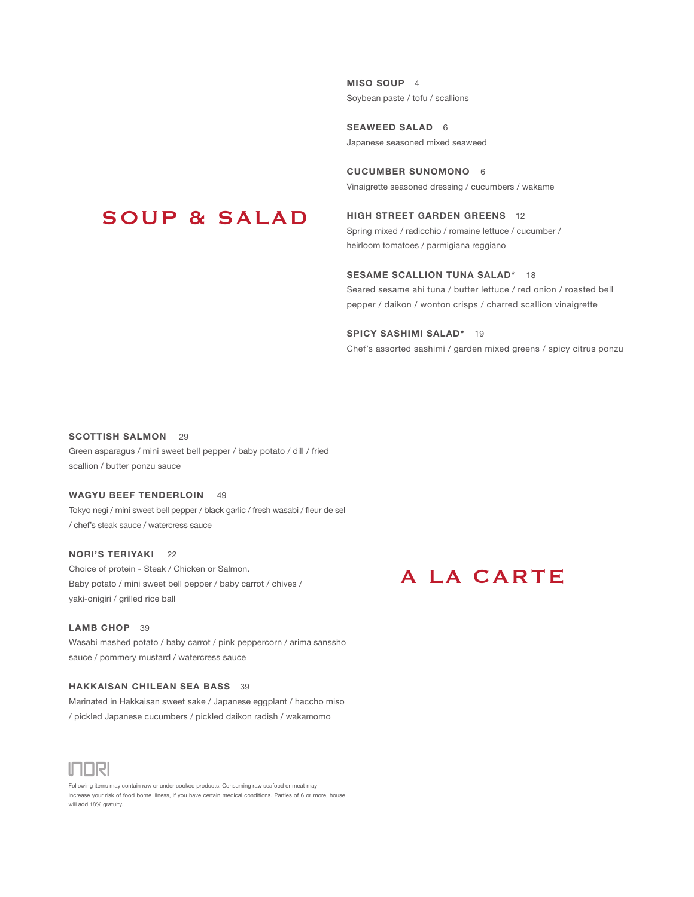MISO SOUP 4 Soybean paste / tofu / scallions

SEAWEED SALAD 6 Japanese seasoned mixed seaweed

CUCUMBER SUNOMONO 6 Vinaigrette seasoned dressing / cucumbers / wakame

### SOUP & SALAD

HIGH STREET GARDEN GREENS 12 Spring mixed / radicchio / romaine lettuce / cucumber / heirloom tomatoes / parmigiana reggiano

#### SESAME SCALLION TUNA SALAD\* 18

Seared sesame ahi tuna / butter lettuce / red onion / roasted bell pepper / daikon / wonton crisps / charred scallion vinaigrette

#### SPICY SASHIMI SALAD\* 19

Chef's assorted sashimi / garden mixed greens / spicy citrus ponzu

#### SCOTTISH SALMON 29

Green asparagus / mini sweet bell pepper / baby potato / dill / fried scallion / butter ponzu sauce

#### WAGYU BEEF TENDERLOIN 49

Tokyo negi / mini sweet bell pepper / black garlic / fresh wasabi / fleur de sel / chef's steak sauce / watercress sauce

#### NORI'S TERIYAKI 22

Choice of protein - Steak / Chicken or Salmon. Baby potato / mini sweet bell pepper / baby carrot / chives / yaki-onigiri / grilled rice ball

#### LAMB CHOP 39

Wasabi mashed potato / baby carrot / pink peppercorn / arima sanssho sauce / pommery mustard / watercress sauce

#### HAKKAISAN CHILEAN SEA BASS 39

Marinated in Hakkaisan sweet sake / Japanese eggplant / haccho miso / pickled Japanese cucumbers / pickled daikon radish / wakamomo



Following items may contain raw or under cooked products. Consuming raw seafood or meat may Increase your risk of food borne illness, if you have certain medical conditions. Parties of 6 or more, house will add 18% gratuity.

### A LA CARTE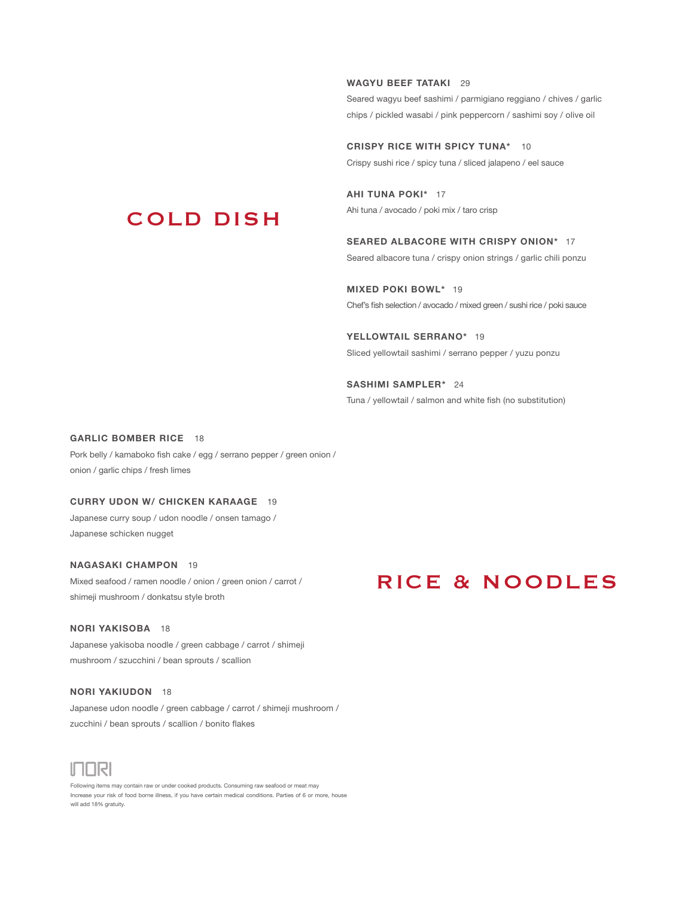WAGYU BEEF TATAKI 29

Seared wagyu beef sashimi / parmigiano reggiano / chives / garlic chips / pickled wasabi / pink peppercorn / sashimi soy / olive oil

CRISPY RICE WITH SPICY TUNA\* 10 Crispy sushi rice / spicy tuna / sliced jalapeno / eel sauce

AHI TUNA POKI\* 17 Ahi tuna / avocado / poki mix / taro crisp

SEARED ALBACORE WITH CRISPY ONION\* 17 Seared albacore tuna / crispy onion strings / garlic chili ponzu

MIXED POKI BOWL\* 19 Chef's fish selection / avocado / mixed green / sushi rice / poki sauce

YELLOWTAIL SERRANO\* 19 Sliced yellowtail sashimi / serrano pepper / yuzu ponzu

SASHIMI SAMPLER\* 24 Tuna / yellowtail / salmon and white fish (no substitution)

#### GARLIC BOMBER RICE 18

Pork belly / kamaboko fish cake / egg / serrano pepper / green onion / onion / garlic chips / fresh limes

COLD DISH

#### CURRY UDON W/ CHICKEN KARAAGE 19

Japanese curry soup / udon noodle / onsen tamago / Japanese schicken nugget

#### NAGASAKI CHAMPON 19

Mixed seafood / ramen noodle / onion / green onion / carrot / shimeji mushroom / donkatsu style broth

#### NORI YAKISOBA 18

Japanese yakisoba noodle / green cabbage / carrot / shimeji mushroom / szucchini / bean sprouts / scallion

#### NORI YAKIUDON 18

Japanese udon noodle / green cabbage / carrot / shimeji mushroom / zucchini / bean sprouts / scallion / bonito flakes



Following items may contain raw or under cooked products. Consuming raw seafood or meat may Increase your risk of food borne illness, if you have certain medical conditions. Parties of 6 or more, house will add 18% gratuity.

### RICE & NOODLES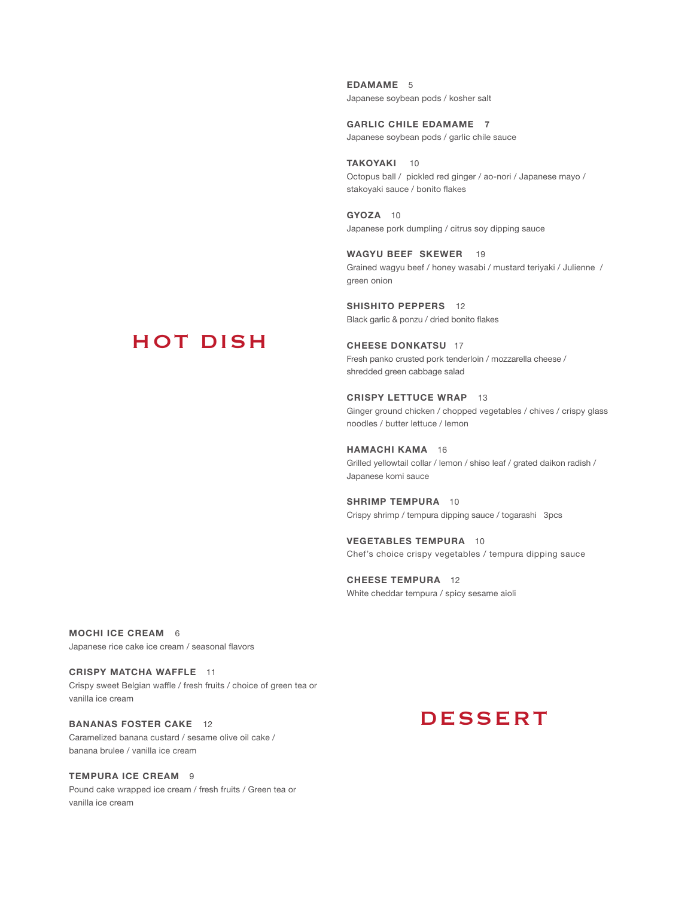EDAMAME<sub>5</sub> Japanese soybean pods / kosher salt

GARLIC CHILE EDAMAME 7 Japanese soybean pods / garlic chile sauce

TAKOYAKI 10 Octopus ball / pickled red ginger / ao-nori / Japanese mayo / stakoyaki sauce / bonito flakes

GYOZA 10 Japanese pork dumpling / citrus soy dipping sauce

WAGYU BEEF SKEWER 19 Grained wagyu beef / honey wasabi / mustard teriyaki / Julienne / green onion

SHISHITO PEPPERS 12 Black garlic & ponzu / dried bonito flakes

#### CHEESE DONKATSU 17 Fresh panko crusted pork tenderloin / mozzarella cheese / shredded green cabbage salad

CRISPY LETTUCE WRAP 13 Ginger ground chicken / chopped vegetables / chives / crispy glass noodles / butter lettuce / lemon

HAMACHI KAMA 16 Grilled yellowtail collar / lemon / shiso leaf / grated daikon radish / Japanese komi sauce

SHRIMP TEMPURA 10 Crispy shrimp / tempura dipping sauce / togarashi 3pcs

VEGETABLES TEMPURA 10 Chef's choice crispy vegetables / tempura dipping sauce

CHEESE TEMPURA 12 White cheddar tempura / spicy sesame aioli

# HOT DISH

MOCHI ICE CREAM 6

Japanese rice cake ice cream / seasonal flavors

CRISPY MATCHA WAFFLE 11 Crispy sweet Belgian waffle / fresh fruits / choice of green tea or vanilla ice cream

#### BANANAS FOSTER CAKE 12

Caramelized banana custard / sesame olive oil cake / banana brulee / vanilla ice cream

#### TEMPURA ICE CREAM 9

Pound cake wrapped ice cream / fresh fruits / Green tea or vanilla ice cream

### **DESSERT**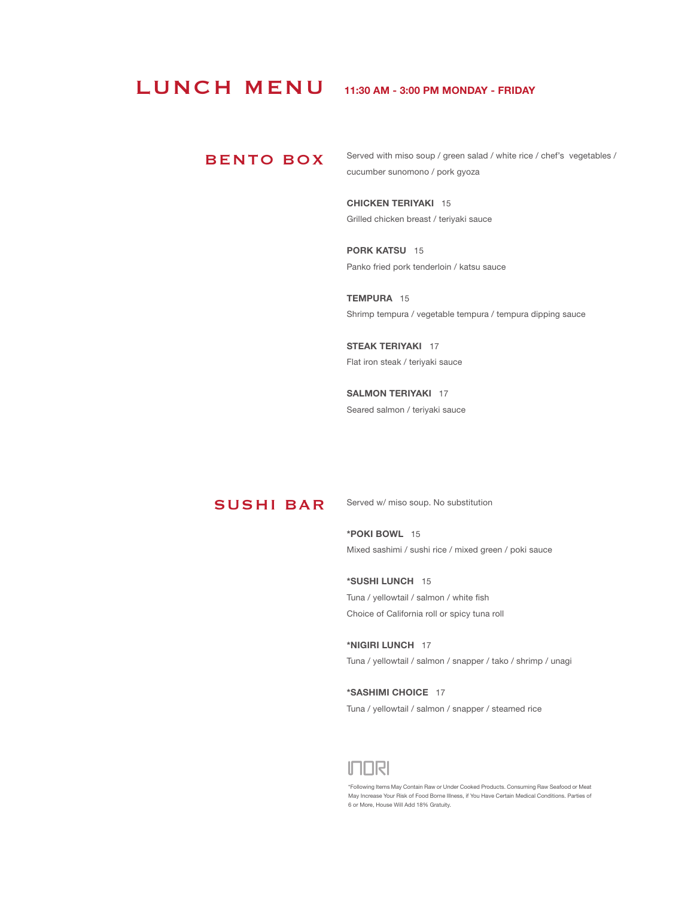### LUNCH MENU

#### 11:30 AM - 3:00 PM MONDAY - FRIDAY

#### BENTO BOX

Served with miso soup / green salad / white rice / chef's vegetables / cucumber sunomono / pork gyoza

CHICKEN TERIYAKI 15 Grilled chicken breast / teriyaki sauce

PORK KATSU 15 Panko fried pork tenderloin / katsu sauce

TEMPURA 15 Shrimp tempura / vegetable tempura / tempura dipping sauce

STEAK TERIYAKI 17 Flat iron steak / teriyaki sauce

SALMON TERIYAKI 17 Seared salmon / teriyaki sauce

#### SUSHI BAR

Served w/ miso soup. No substitution

\*POKI BOWL 15 Mixed sashimi / sushi rice / mixed green / poki sauce

\*SUSHI LUNCH 15 Tuna / yellowtail / salmon / white fish Choice of California roll or spicy tuna roll

\*NIGIRI LUNCH 17 Tuna / yellowtail / salmon / snapper / tako / shrimp / unagi

\*SASHIMI CHOICE 17 Tuna / yellowtail / salmon / snapper / steamed rice



\*Following Items May Contain Raw or Under Cooked Products. Consuming Raw Seafood or Meat May Increase Your Risk of Food Borne Illness, if You Have Certain Medical Conditions. Parties of 6 or More, House Will Add 18% Gratuity.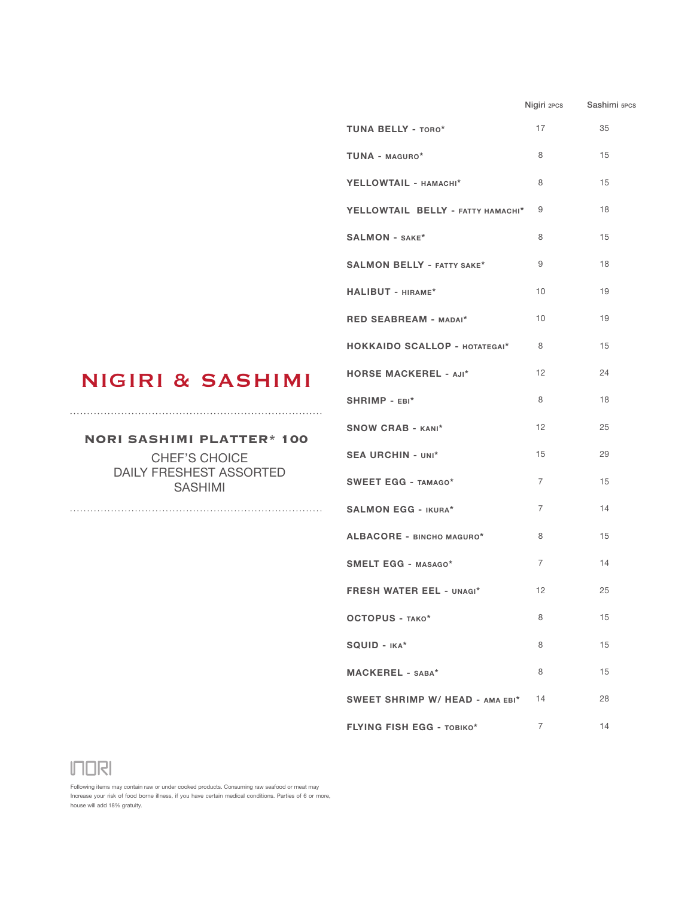|                                      |                | Nigiri 2PCS Sashimi 5PCS |
|--------------------------------------|----------------|--------------------------|
| <b>TUNA BELLY - TORO*</b>            | 17             | 35                       |
| TUNA - MAGURO*                       | 8              | 15                       |
| YELLOWTAIL - HAMACHI*                | 8              | 15                       |
| YELLOWTAIL BELLY - FATTY HAMACHI*    | 9              | 18                       |
| <b>SALMON - SAKE*</b>                | 8              | 15                       |
| <b>SALMON BELLY - FATTY SAKE*</b>    | 9              | 18                       |
| HALIBUT - HIRAME*                    | 10             | 19                       |
| RED SEABREAM - MADAI*                | 10             | 19                       |
| <b>HOKKAIDO SCALLOP - HOTATEGAI*</b> | $\overline{8}$ | 15                       |
| <b>HORSE MACKEREL - AJI*</b>         | 12             | 24                       |
| SHRIMP - EBI*                        | 8              | 18                       |
| <b>SNOW CRAB - KANI*</b>             | 12             | 25                       |
| <b>SEA URCHIN - UNI*</b>             | 15             | 29                       |
| <b>SWEET EGG - TAMAGO*</b>           | $\overline{7}$ | 15                       |
| <b>SALMON EGG - IKURA*</b>           | $\overline{7}$ | 14                       |
| ALBACORE - BINCHO MAGURO*            | 8              | 15                       |
| <b>SMELT EGG - MASAGO*</b>           | $\overline{7}$ | 14                       |
| <b>FRESH WATER EEL - UNAGI*</b>      | 12             | 25                       |
| OCTOPUS - TAKO*                      | 8              | 15                       |
| SQUID - IKA*                         | 8              | 15                       |
| MACKEREL - SABA*                     | 8              | 15                       |
| SWEET SHRIMP W/ HEAD - AMA EBI*      | 14             | 28                       |
| <b>FLYING FISH EGG - TOBIKO*</b>     | $\overline{7}$ | 14                       |

## NIGIRI & SASHIMI

#### **NORI SASHIMI PLATTER\* 100**

CHEF'S CHOICE DAILY FRESHEST ASSORTED SASHIMI

**INDRI** 

Following items may contain raw or under cooked products. Consuming raw seafood or meat may Increase your risk of food borne illness, if you have certain medical conditions. Parties of 6 or more, house will add 18% gratuity.